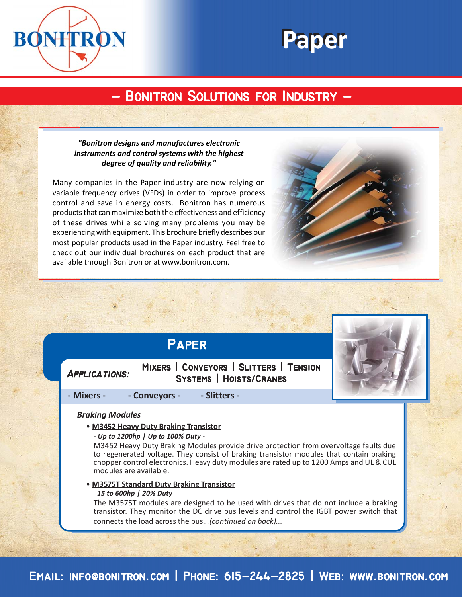



# **- Bonitron Solutions for Industry - - Bonitron Solutions for Industry -**

# *"Bonitron designs and manufactures electronic instruments and control systems with the highest degree of quality and reliability."*

Many companies in the Paper industry are now relying on variable frequency drives (VFDs) in order to improve process control and save in energy costs. Bonitron has numerous products that can maximize both the effectiveness and efficiency of these drives while solving many problems you may be experiencing with equipment. This brochure briefly describes our most popular products used in the Paper industry. Feel free to check out our individual brochures on each product that are available through Bonitron or at www.bonitron.com.